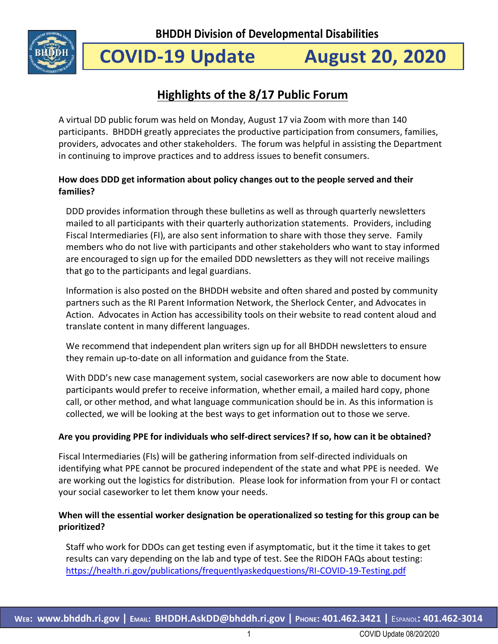

# **COVID-19 Update August 20, 2020**

## **Highlights of the 8/17 Public Forum**

A virtual DD public forum was held on Monday, August 17 via Zoom with more than 140 participants. BHDDH greatly appreciates the productive participation from consumers, families, providers, advocates and other stakeholders. The forum was helpful in assisting the Department in continuing to improve practices and to address issues to benefit consumers.

## **How does DDD get information about policy changes out to the people served and their families?**

DDD provides information through these bulletins as well as through quarterly newsletters mailed to all participants with their quarterly authorization statements. Providers, including Fiscal Intermediaries (FI), are also sent information to share with those they serve. Family members who do not live with participants and other stakeholders who want to stay informed are encouraged to sign up for the emailed DDD newsletters as they will not receive mailings that go to the participants and legal guardians.

Information is also posted on the BHDDH website and often shared and posted by community partners such as the RI Parent Information Network, the Sherlock Center, and Advocates in Action. Advocates in Action has accessibility tools on their website to read content aloud and translate content in many different languages.

We recommend that independent plan writers sign up for all BHDDH newsletters to ensure they remain up-to-date on all information and guidance from the State.

With DDD's new case management system, social caseworkers are now able to document how participants would prefer to receive information, whether email, a mailed hard copy, phone call, or other method, and what language communication should be in. As this information is collected, we will be looking at the best ways to get information out to those we serve.

### **Are you providing PPE for individuals who self-direct services? If so, how can it be obtained?**

Fiscal Intermediaries (FIs) will be gathering information from self-directed individuals on identifying what PPE cannot be procured independent of the state and what PPE is needed. We are working out the logistics for distribution. Please look for information from your FI or contact your social caseworker to let them know your needs.

## **When will the essential worker designation be operationalized so testing for this group can be prioritized?**

Staff who work for DDOs can get testing even if asymptomatic, but it the time it takes to get results can vary depending on the lab and type of test. See the RIDOH FAQs about testing: <https://health.ri.gov/publications/frequentlyaskedquestions/RI-COVID-19-Testing.pdf>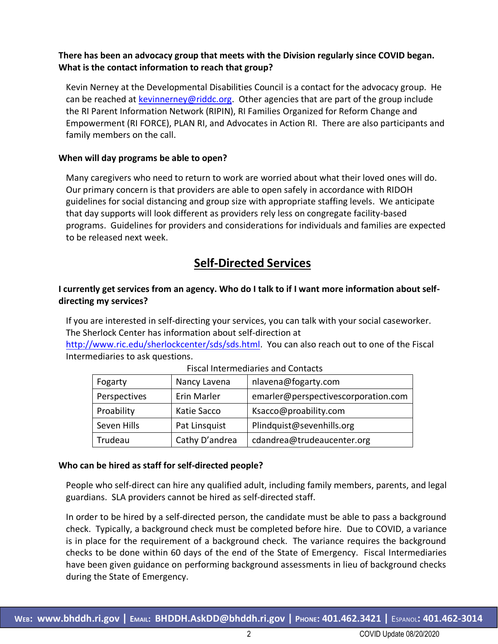## **There has been an advocacy group that meets with the Division regularly since COVID began. What is the contact information to reach that group?**

Kevin Nerney at the Developmental Disabilities Council is a contact for the advocacy group. He can be reached at [kevinnerney@riddc.org.](mailto:kevinnerney@riddc.org) Other agencies that are part of the group include the RI Parent Information Network (RIPIN), RI Families Organized for Reform Change and Empowerment (RI FORCE), PLAN RI, and Advocates in Action RI. There are also participants and family members on the call.

#### **When will day programs be able to open?**

Many caregivers who need to return to work are worried about what their loved ones will do. Our primary concern is that providers are able to open safely in accordance with RIDOH guidelines for social distancing and group size with appropriate staffing levels. We anticipate that day supports will look different as providers rely less on congregate facility-based programs. Guidelines for providers and considerations for individuals and families are expected to be released next week.

## **Self-Directed Services**

## **I currently get services from an agency. Who do I talk to if I want more information about selfdirecting my services?**

If you are interested in self-directing your services, you can talk with your social caseworker. The Sherlock Center has information about self-direction at

[http://www.ric.edu/sherlockcenter/sds/sds.html.](http://www.ric.edu/sherlockcenter/sds/sds.html) You can also reach out to one of the Fiscal Intermediaries to ask questions.

| Fogarty      | Nancy Lavena   | nlavena@fogarty.com                 |  |
|--------------|----------------|-------------------------------------|--|
| Perspectives | Erin Marler    | emarler@perspectivescorporation.com |  |
| Proability   | Katie Sacco    | Ksacco@proability.com               |  |
| Seven Hills  | Pat Linsquist  | Plindquist@sevenhills.org           |  |
| Trudeau      | Cathy D'andrea | cdandrea@trudeaucenter.org          |  |

#### Fiscal Intermediaries and Contacts

#### **Who can be hired as staff for self-directed people?**

People who self-direct can hire any qualified adult, including family members, parents, and legal guardians. SLA providers cannot be hired as self-directed staff.

In order to be hired by a self-directed person, the candidate must be able to pass a background check. Typically, a background check must be completed before hire. Due to COVID, a variance is in place for the requirement of a background check. The variance requires the background checks to be done within 60 days of the end of the State of Emergency. Fiscal Intermediaries have been given guidance on performing background assessments in lieu of background checks during the State of Emergency.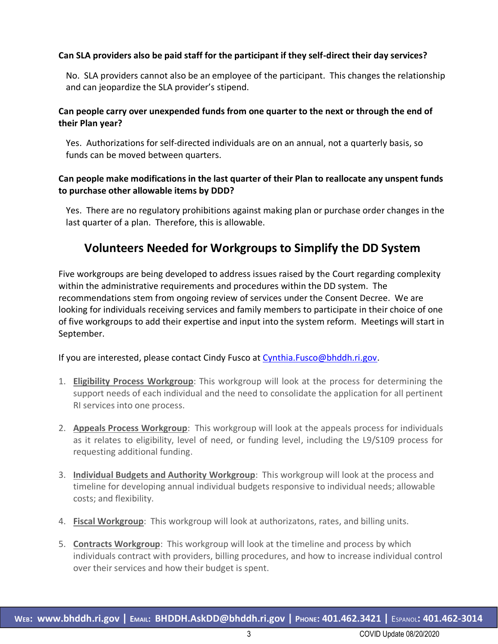#### **Can SLA providers also be paid staff for the participant if they self-direct their day services?**

No. SLA providers cannot also be an employee of the participant. This changes the relationship and can jeopardize the SLA provider's stipend.

#### **Can people carry over unexpended funds from one quarter to the next or through the end of their Plan year?**

Yes. Authorizations for self-directed individuals are on an annual, not a quarterly basis, so funds can be moved between quarters.

### **Can people make modifications in the last quarter of their Plan to reallocate any unspent funds to purchase other allowable items by DDD?**

Yes. There are no regulatory prohibitions against making plan or purchase order changes in the last quarter of a plan. Therefore, this is allowable.

## **Volunteers Needed for Workgroups to Simplify the DD System**

Five workgroups are being developed to address issues raised by the Court regarding complexity within the administrative requirements and procedures within the DD system. The recommendations stem from ongoing review of services under the Consent Decree. We are looking for individuals receiving services and family members to participate in their choice of one of five workgroups to add their expertise and input into the system reform. Meetings will start in September.

If you are interested, please contact Cindy Fusco at [Cynthia.Fusco@bhddh.ri.gov.](mailto:Cynthia.Fusco@bhddh.ri.gov)

- 1. **Eligibility Process Workgroup**: This workgroup will look at the process for determining the support needs of each individual and the need to consolidate the application for all pertinent RI services into one process.
- 2. **Appeals Process Workgroup**: This workgroup will look at the appeals process for individuals as it relates to eligibility, level of need, or funding level, including the L9/S109 process for requesting additional funding.
- 3. **Individual Budgets and Authority Workgroup**: This workgroup will look at the process and timeline for developing annual individual budgets responsive to individual needs; allowable costs; and flexibility.
- 4. **Fiscal Workgroup**: This workgroup will look at authorizatons, rates, and billing units.
- 5. **Contracts Workgroup**: This workgroup will look at the timeline and process by which individuals contract with providers, billing procedures, and how to increase individual control over their services and how their budget is spent.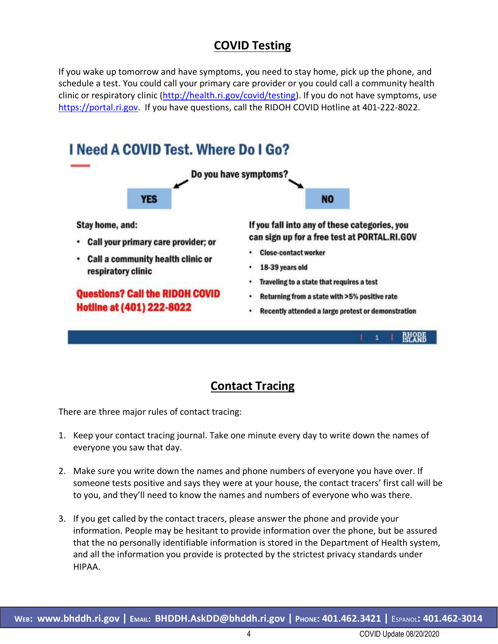## **COVID Testing**

If you wake up tomorrow and have symptoms, you need to stay home, pick up the phone, and schedule a test. You could call your primary care provider or you could call a community health clinic or respiratory clinic [\(http://health.ri.gov/covid/testing\)](http://health.ri.gov/covid/testing). If you do not have symptoms, use [https://portal.ri.gov.](https://portal.ri.gov/) If you have questions, call the RIDOH COVID Hotline at 401-222-8022.



## **Contact Tracing**

There are three major rules of contact tracing:

- 1. Keep your contact tracing journal. Take one minute every day to write down the names of everyone you saw that day.
- 2. Make sure you write down the names and phone numbers of everyone you have over. If someone tests positive and says they were at your house, the contact tracers' first call will be to you, and they'll need to know the names and numbers of everyone who was there.
- 3. If you get called by the contact tracers, please answer the phone and provide your information. People may be hesitant to provide information over the phone, but be assured that the no personally identifiable information is stored in the Department of Health system, and all the information you provide is protected by the strictest privacy standards under HIPAA.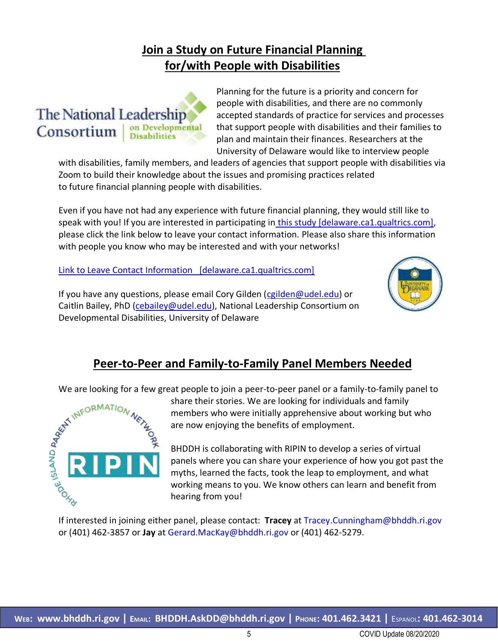## **Join a Study on Future Financial Planning for/with People with Disabilities**



Planning for the future is a priority and concern for people with disabilities, and there are no commonly accepted standards of practice for services and processes that support people with disabilities and their families to plan and maintain their finances. Researchers at the University of Delaware would like to interview people

with disabilities, family members, and leaders of agencies that support people with disabilities via Zoom to build their knowledge about the issues and promising practices related to future financial planning people with disabilities.

Even if you have not had any experience with future financial planning, they would still like to speak with you! If you are interested in participating in [this study \[delaware.ca1.qualtrics.com\],](https://urldefense.proofpoint.com/v2/url?u=https-3A__delaware.ca1.qualtrics.com_jfe_form_SV-5FbyDuRYwUrPno0bH&d=DwMFaQ&c=tSLbvWYfvulPN3G_n48TUw&r=8wlRmoJ6r8PORVlVtKq1ORnHMXIZZuQ0n_I3xd3PIzA&m=S2Qtu6rbM_AAnQc7t3jw88LgyNaYPxH8mkrUp6H3ezw&s=oXcMBgFkExzLX-9BgI3d3PjjaZLcVeNCi7wfx9YMIBI&e=) please click the link below to leave your contact information. Please also share this information with people you know who may be interested and with your networks!

[Link to Leave Contact Information \[delaware.ca1.qualtrics.com\]](https://urldefense.proofpoint.com/v2/url?u=https-3A__delaware.ca1.qualtrics.com_jfe_form_SV-5FbyDuRYwUrPno0bH&d=DwMFaQ&c=tSLbvWYfvulPN3G_n48TUw&r=8wlRmoJ6r8PORVlVtKq1ORnHMXIZZuQ0n_I3xd3PIzA&m=S2Qtu6rbM_AAnQc7t3jw88LgyNaYPxH8mkrUp6H3ezw&s=oXcMBgFkExzLX-9BgI3d3PjjaZLcVeNCi7wfx9YMIBI&e=)

If you have any questions, please email Cory Gilden [\(cgilden@udel.edu\)](mailto:cgilden@udel.edu) or Caitlin Bailey, PhD [\(cebailey@udel.edu\)](mailto:cebailey@udel.edu), National Leadership Consortium on Developmental Disabilities, University of Delaware



## **Peer-to-Peer and Family-to-Family Panel Members Needed**

We are looking for a few great people to join a peer-to-peer panel or a family-to-family panel to



share their stories. We are looking for individuals and family members who were initially apprehensive about working but who are now enjoying the benefits of employment.

BHDDH is collaborating with RIPIN to develop a series of virtual panels where you can share your experience of how you got past the myths, learned the facts, took the leap to employment, and what working means to you. We know others can learn and benefit from hearing from you!

If interested in joining either panel, please contact: **Tracey** at Tracey.Cunningham@bhddh.ri.gov or (401) 462-3857 or **Jay** at Gerard.MacKay@bhddh.ri.gov or (401) 462-5279.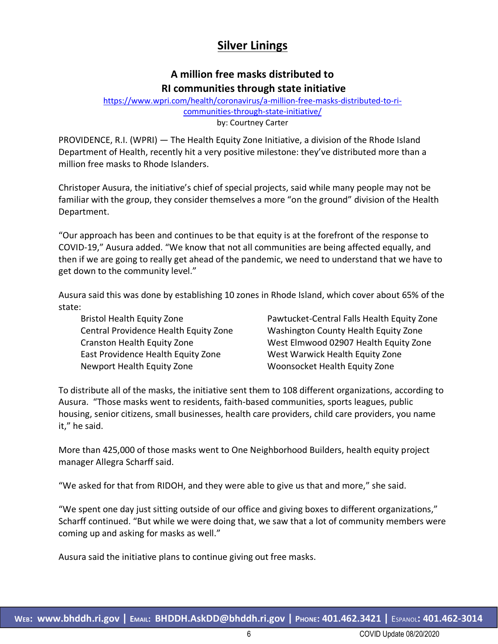## **Silver Linings**

## **A million free masks distributed to RI communities through state initiative**

[https://www.wpri.com/health/coronavirus/a-million-free-masks-distributed-to-ri](https://www.wpri.com/health/coronavirus/a-million-free-masks-distributed-to-ri-communities-through-state-initiative/)[communities-through-state-initiative/](https://www.wpri.com/health/coronavirus/a-million-free-masks-distributed-to-ri-communities-through-state-initiative/)  by: Courtney Carter

PROVIDENCE, R.I. (WPRI) — The Health Equity Zone Initiative, a division of the Rhode Island Department of Health, recently hit a very positive milestone: they've distributed more than a million free masks to Rhode Islanders.

Christoper Ausura, the initiative's chief of special projects, said while many people may not be familiar with the group, they consider themselves a more "on the ground" division of the Health Department.

"Our approach has been and continues to be that equity is at the forefront of the response to COVID-19," Ausura added. "We know that not all communities are being affected equally, and then if we are going to really get ahead of the pandemic, we need to understand that we have to get down to the community level."

Ausura said this was done by establishing 10 zones in Rhode Island, which cover about 65% of the state:

Bristol Health Equity Zone Central Providence Health Equity Zone Cranston Health Equity Zone East Providence Health Equity Zone Newport Health Equity Zone

Pawtucket-Central Falls Health Equity Zone Washington County Health Equity Zone West Elmwood 02907 Health Equity Zone West Warwick Health Equity Zone Woonsocket Health Equity Zone

To distribute all of the masks, the initiative sent them to 108 different organizations, according to Ausura. "Those masks went to residents, faith-based communities, sports leagues, public housing, senior citizens, small businesses, health care providers, child care providers, you name it," he said.

More than 425,000 of those masks went to One Neighborhood Builders, health equity project manager Allegra Scharff said.

"We asked for that from RIDOH, and they were able to give us that and more," she said.

"We spent one day just sitting outside of our office and giving boxes to different organizations," Scharff continued. "But while we were doing that, we saw that a lot of community members were coming up and asking for masks as well."

Ausura said the initiative plans to continue giving out free masks.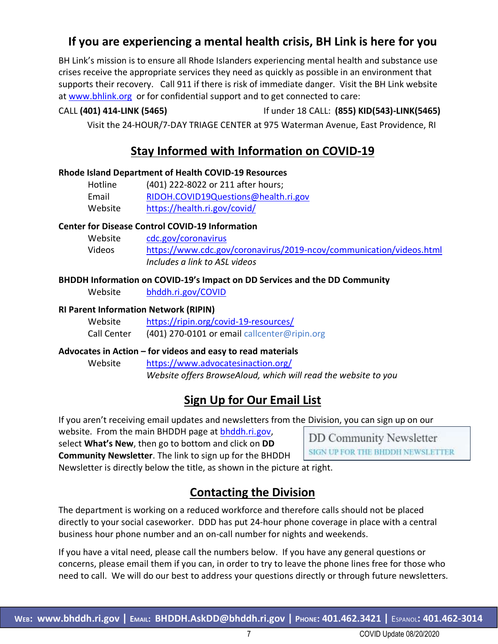## **If you are experiencing a mental health crisis, BH Link is here for you**

BH Link's mission is to ensure all Rhode Islanders experiencing mental health and substance use crises receive the appropriate services they need as quickly as possible in an environment that supports their recovery. Call 911 if there is risk of immediate danger. Visit the BH Link website at [www.bhlink.org](http://www.bhlink.org/) or for confidential support and to get connected to care:

CALL **(401) 414-LINK (5465)** If under 18 CALL: **(855) KID(543)-LINK(5465)**

Visit the 24-HOUR/7-DAY TRIAGE CENTER at 975 Waterman Avenue, East Providence, RI

## **Stay Informed with Information on COVID-19**

### **Rhode Island Department of Health COVID-19 Resources**

| Hotline | (401) 222-8022 or 211 after hours;   |
|---------|--------------------------------------|
| Email   | RIDOH.COVID19Questions@health.ri.gov |
| Website | https://health.ri.gov/covid/         |

### **Center for Disease Control COVID-19 Information**

| Website | cdc.gov/coronavirus                                                 |
|---------|---------------------------------------------------------------------|
| Videos  | https://www.cdc.gov/coronavirus/2019-ncov/communication/videos.html |
|         | Includes a link to ASL videos                                       |

### **BHDDH Information on COVID-19's Impact on DD Services and the DD Community**

Website [bhddh.ri.gov/COVID](http://www.bhddh.ri.gov/COVID) 

#### **RI Parent Information Network (RIPIN)**

| Website     | https://ripin.org/covid-19-resources/        |
|-------------|----------------------------------------------|
| Call Center | (401) 270-0101 or email callcenter@ripin.org |

### **Advocates in Action – for videos and easy to read materials**

Website <https://www.advocatesinaction.org/> *Website offers BrowseAloud, which will read the website to you*

## **Sign Up for Our Email List**

If you aren't receiving email updates and newsletters from the Division, you can sign up on our

website. From the main BHDDH page at [bhddh.ri.gov,](http://www.bhddh.ri.gov/) select **What's New**, then go to bottom and click on **DD Community Newsletter**. The link to sign up for the BHDDH

**DD Community Newsletter** SIGN UP FOR THE BHDDH NEWSLETTER

Newsletter is directly below the title, as shown in the picture at right.

## **Contacting the Division**

The department is working on a reduced workforce and therefore calls should not be placed directly to your social caseworker. DDD has put 24-hour phone coverage in place with a central business hour phone number and an on-call number for nights and weekends.

If you have a vital need, please call the numbers below. If you have any general questions or concerns, please email them if you can, in order to try to leave the phone lines free for those who need to call. We will do our best to address your questions directly or through future newsletters.